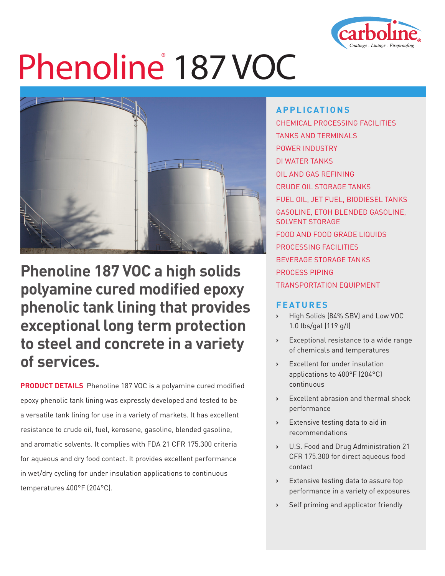

# Phenoline<sup>®</sup> 187 VOC



**Phenoline 187 VOC a high solids polyamine cured modified epoxy phenolic tank lining that provides exceptional long term protection to steel and concrete in a variety of services.**

**PRODUCT DETAILS** Phenoline 187 VOC is a polyamine cured modified epoxy phenolic tank lining was expressly developed and tested to be a versatile tank lining for use in a variety of markets. It has excellent resistance to crude oil, fuel, kerosene, gasoline, blended gasoline, and aromatic solvents. It complies with FDA 21 CFR 175.300 criteria for aqueous and dry food contact. It provides excellent performance in wet/dry cycling for under insulation applications to continuous temperatures 400°F (204°C).

### **APPLICATIONS**

CHEMICAL PROCESSING FACILITIES TANKS AND TERMINALS POWER INDUSTRY DI WATER TANKS OIL AND GAS REFINING CRUDE OIL STORAGE TANKS FUEL OIL, JET FUEL, BIODIESEL TANKS GASOLINE, ETOH BLENDED GASOLINE, SOLVENT STORAGE FOOD AND FOOD GRADE LIQUIDS PROCESSING FACILITIES BEVERAGE STORAGE TANKS PROCESS PIPING TRANSPORTATION EQUIPMENT

### **FEATURES**

- **›** High Solids (84% SBV) and Low VOC 1.0 lbs/gal (119 g/l)
- **›** Exceptional resistance to a wide range of chemicals and temperatures
- **›** Excellent for under insulation applications to 400°F (204°C) continuous
- **›** Excellent abrasion and thermal shock performance
- **›** Extensive testing data to aid in recommendations
- **›** U.S. Food and Drug Administration 21 CFR 175.300 for direct aqueous food contact
- **›** Extensive testing data to assure top performance in a variety of exposures
- **›** Self priming and applicator friendly